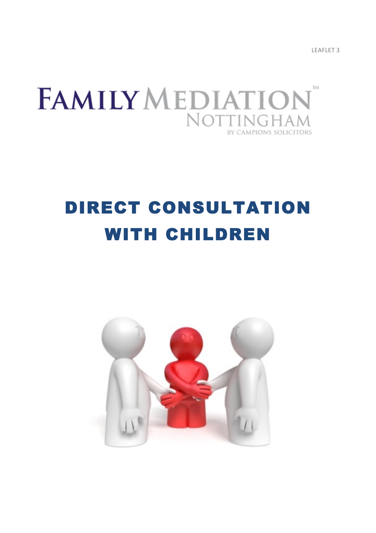LEAFLET<sub>3</sub>



# DIRECT CONSULTATION WITH CHILDREN

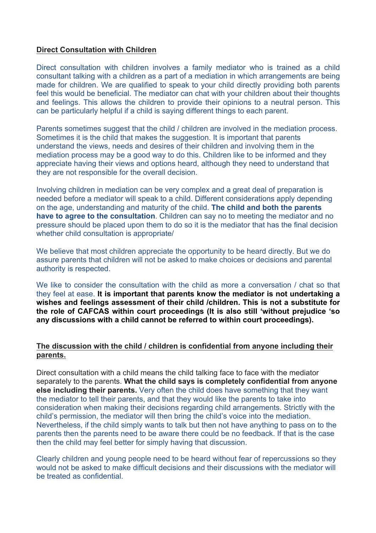# **Direct Consultation with Children**

Direct consultation with children involves a family mediator who is trained as a child consultant talking with a children as a part of a mediation in which arrangements are being made for children. We are qualified to speak to your child directly providing both parents feel this would be beneficial. The mediator can chat with your children about their thoughts and feelings. This allows the children to provide their opinions to a neutral person. This can be particularly helpful if a child is saying different things to each parent.

Parents sometimes suggest that the child / children are involved in the mediation process. Sometimes it is the child that makes the suggestion. It is important that parents understand the views, needs and desires of their children and involving them in the mediation process may be a good way to do this. Children like to be informed and they appreciate having their views and options heard, although they need to understand that they are not responsible for the overall decision.

Involving children in mediation can be very complex and a great deal of preparation is needed before a mediator will speak to a child. Different considerations apply depending on the age, understanding and maturity of the child. **The child and both the parents have to agree to the consultation**. Children can say no to meeting the mediator and no pressure should be placed upon them to do so it is the mediator that has the final decision whether child consultation is appropriate/

We believe that most children appreciate the opportunity to be heard directly. But we do assure parents that children will not be asked to make choices or decisions and parental authority is respected.

We like to consider the consultation with the child as more a conversation / chat so that they feel at ease. **It is important that parents know the mediator is not undertaking a wishes and feelings assessment of their child /children. This is not a substitute for the role of CAFCAS within court proceedings (It is also still 'without prejudice 'so any discussions with a child cannot be referred to within court proceedings).** 

# **The discussion with the child / children is confidential from anyone including their parents.**

Direct consultation with a child means the child talking face to face with the mediator separately to the parents. **What the child says is completely confidential from anyone else including their parents.** Very often the child does have something that they want the mediator to tell their parents, and that they would like the parents to take into consideration when making their decisions regarding child arrangements. Strictly with the child's permission, the mediator will then bring the child's voice into the mediation. Nevertheless, if the child simply wants to talk but then not have anything to pass on to the parents then the parents need to be aware there could be no feedback. If that is the case then the child may feel better for simply having that discussion.

Clearly children and young people need to be heard without fear of repercussions so they would not be asked to make difficult decisions and their discussions with the mediator will be treated as confidential.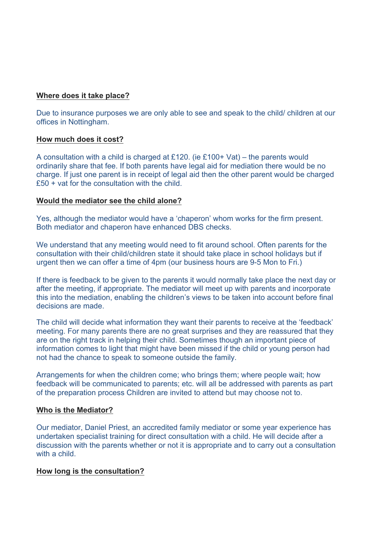# **Where does it take place?**

Due to insurance purposes we are only able to see and speak to the child/ children at our offices in Nottingham.

#### **How much does it cost?**

A consultation with a child is charged at £120. (ie £100+ Vat) – the parents would ordinarily share that fee. If both parents have legal aid for mediation there would be no charge. If just one parent is in receipt of legal aid then the other parent would be charged £50 + vat for the consultation with the child.

#### **Would the mediator see the child alone?**

Yes, although the mediator would have a 'chaperon' whom works for the firm present. Both mediator and chaperon have enhanced DBS checks.

We understand that any meeting would need to fit around school. Often parents for the consultation with their child/children state it should take place in school holidays but if urgent then we can offer a time of 4pm (our business hours are 9-5 Mon to Fri.)

If there is feedback to be given to the parents it would normally take place the next day or after the meeting, if appropriate. The mediator will meet up with parents and incorporate this into the mediation, enabling the children's views to be taken into account before final decisions are made.

The child will decide what information they want their parents to receive at the 'feedback' meeting. For many parents there are no great surprises and they are reassured that they are on the right track in helping their child. Sometimes though an important piece of information comes to light that might have been missed if the child or young person had not had the chance to speak to someone outside the family.

Arrangements for when the children come; who brings them; where people wait; how feedback will be communicated to parents; etc. will all be addressed with parents as part of the preparation process Children are invited to attend but may choose not to.

#### **Who is the Mediator?**

Our mediator, Daniel Priest, an accredited family mediator or some year experience has undertaken specialist training for direct consultation with a child. He will decide after a discussion with the parents whether or not it is appropriate and to carry out a consultation with a child.

# **How long is the consultation?**